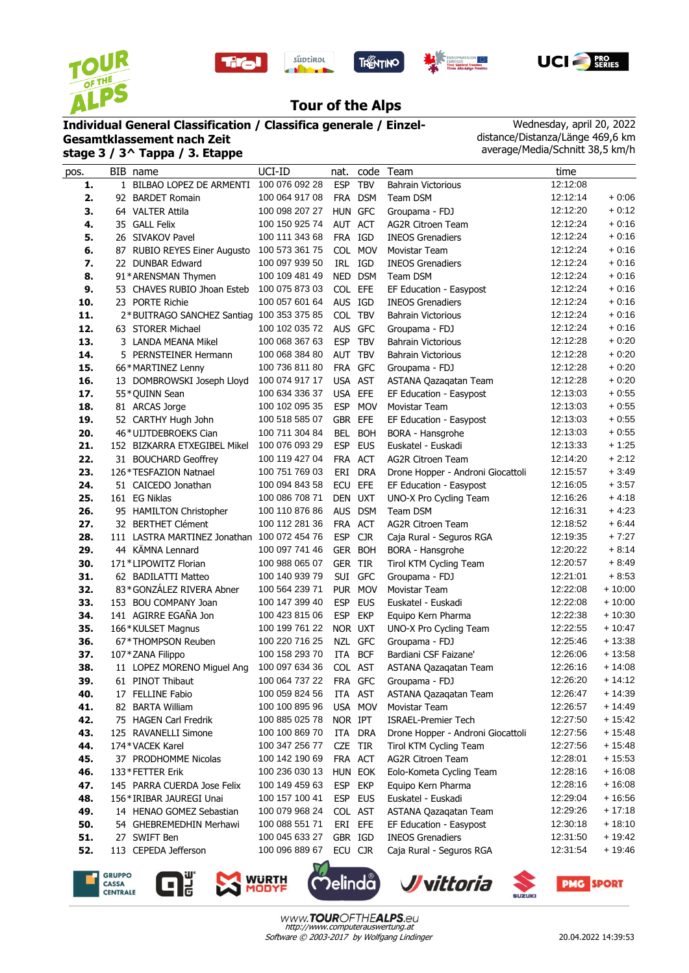









## **Tour of the Alps**

## **Individual General Classification / Classifica generale / Einzel-**

**Gesamtklassement nach Zeit stage 3 / 3^ Tappa / 3. Etappe**

Wednesday, april 20, 2022 distance/Distanza/Länge 469,6 km average/Media/Schnitt 38,5 km/h

| pos. | BIB name                                    | UCI-ID         | nat.           |            | code Team                         | time     |          |
|------|---------------------------------------------|----------------|----------------|------------|-----------------------------------|----------|----------|
| 1.   | 1 BILBAO LOPEZ DE ARMENTI 100 076 092 28    |                | <b>ESP</b>     | <b>TBV</b> | <b>Bahrain Victorious</b>         | 12:12:08 |          |
| 2.   | 92 BARDET Romain                            | 100 064 917 08 |                | FRA DSM    | Team DSM                          | 12:12:14 | $+0:06$  |
| 3.   | 64 VALTER Attila                            | 100 098 207 27 | HUN GFC        |            | Groupama - FDJ                    | 12:12:20 | $+0:12$  |
| 4.   | 35 GALL Felix                               | 100 150 925 74 | AUT ACT        |            | <b>AG2R Citroen Team</b>          | 12:12:24 | $+0:16$  |
| 5.   | 26 SIVAKOV Pavel                            | 100 111 343 68 | FRA IGD        |            | <b>INEOS Grenadiers</b>           | 12:12:24 | $+0:16$  |
| 6.   | 87 RUBIO REYES Einer Augusto                | 100 573 361 75 |                | COL MOV    | Movistar Team                     | 12:12:24 | $+0:16$  |
| 7.   | 22 DUNBAR Edward                            | 100 097 939 50 |                | IRL IGD    | <b>INEOS Grenadiers</b>           | 12:12:24 | $+0.16$  |
| 8.   | 91*ARENSMAN Thymen                          | 100 109 481 49 |                | NED DSM    | Team DSM                          | 12:12:24 | $+0:16$  |
| 9.   | 53 CHAVES RUBIO Jhoan Esteb                 | 100 075 873 03 | COL EFE        |            | EF Education - Easypost           | 12:12:24 | $+0:16$  |
| 10.  | 23 PORTE Richie                             | 100 057 601 64 | AUS IGD        |            | <b>INEOS Grenadiers</b>           | 12:12:24 | $+0:16$  |
| 11.  | 2*BUITRAGO SANCHEZ Santiag 100 353 375 85   |                | COL TBV        |            | <b>Bahrain Victorious</b>         | 12:12:24 | $+0:16$  |
| 12.  | 63 STORER Michael                           | 100 102 035 72 | AUS GFC        |            | Groupama - FDJ                    | 12:12:24 | $+0:16$  |
| 13.  | 3 LANDA MEANA Mikel                         | 100 068 367 63 | ESP TBV        |            | Bahrain Victorious                | 12:12:28 | $+0:20$  |
| 14.  | 5 PERNSTEINER Hermann                       | 100 068 384 80 | AUT TBV        |            | <b>Bahrain Victorious</b>         | 12:12:28 | $+0:20$  |
| 15.  | 66*MARTINEZ Lenny                           | 100 736 811 80 | FRA GFC        |            | Groupama - FDJ                    | 12:12:28 | $+0.20$  |
| 16.  | 13 DOMBROWSKI Joseph Lloyd                  | 100 074 917 17 | USA AST        |            | ASTANA Qazaqatan Team             | 12:12:28 | $+0.20$  |
| 17.  | 55*QUINN Sean                               | 100 634 336 37 | USA EFE        |            | EF Education - Easypost           | 12:13:03 | $+0:55$  |
| 18.  | 81 ARCAS Jorge                              | 100 102 095 35 |                | ESP MOV    | Movistar Team                     | 12:13:03 | $+0.55$  |
| 19.  | 52 CARTHY Hugh John                         | 100 518 585 07 | GBR EFE        |            | EF Education - Easypost           | 12:13:03 | $+0.55$  |
| 20.  | 46*UIJTDEBROEKS Cian                        | 100 711 304 84 |                | BEL BOH    | BORA - Hansgrohe                  | 12:13:03 | $+0.55$  |
| 21.  | 152 BIZKARRA ETXEGIBEL Mikel                | 100 076 093 29 |                | ESP EUS    | Euskatel - Euskadi                | 12:13:33 | $+1:25$  |
| 22.  | 31 BOUCHARD Geoffrey                        | 100 119 427 04 | FRA ACT        |            | <b>AG2R Citroen Team</b>          | 12:14:20 | $+2:12$  |
| 23.  | 126 * TESFAZION Natnael                     | 100 751 769 03 |                | ERI DRA    | Drone Hopper - Androni Giocattoli | 12:15:57 | $+3.49$  |
| 24.  | 51 CAICEDO Jonathan                         | 100 094 843 58 | ECU            | <b>EFE</b> | EF Education - Easypost           | 12:16:05 | $+3:57$  |
| 25.  | 161 EG Niklas                               | 100 086 708 71 | DEN UXT        |            | UNO-X Pro Cycling Team            | 12:16:26 | $+4:18$  |
| 26.  | 95 HAMILTON Christopher                     | 100 110 876 86 |                | AUS DSM    | Team DSM                          | 12:16:31 | $+4.23$  |
| 27.  | 32 BERTHET Clément                          | 100 112 281 36 | FRA ACT        |            | <b>AG2R Citroen Team</b>          | 12:18:52 | $+6.44$  |
| 28.  | 111 LASTRA MARTINEZ Jonathan 100 072 454 76 |                | <b>ESP</b>     | <b>CJR</b> | Caja Rural - Seguros RGA          | 12:19:35 | $+7:27$  |
| 29.  | 44 KÄMNA Lennard                            | 100 097 741 46 |                | GER BOH    | BORA - Hansgrohe                  | 12:20:22 | $+8:14$  |
| 30.  | 171*LIPOWITZ Florian                        | 100 988 065 07 | <b>GER TIR</b> |            | Tirol KTM Cycling Team            | 12:20:57 | $+8:49$  |
| 31.  | 62 BADILATTI Matteo                         | 100 140 939 79 |                | SUI GFC    | Groupama - FDJ                    | 12:21:01 | $+8.53$  |
| 32.  | 83*GONZÁLEZ RIVERA Abner                    | 100 564 239 71 |                | PUR MOV    | Movistar Team                     | 12:22:08 | $+10:00$ |
| 33.  | 153 BOU COMPANY Joan                        | 100 147 399 40 | <b>ESP</b>     | <b>EUS</b> | Euskatel - Euskadi                | 12:22:08 | $+10:00$ |
| 34.  | 141 AGIRRE EGAÑA Jon                        | 100 423 815 06 | <b>ESP</b>     | <b>EKP</b> | Equipo Kern Pharma                | 12:22:38 | $+10:30$ |
| 35.  | 166*KULSET Magnus                           | 100 199 761 22 | NOR UXT        |            | UNO-X Pro Cycling Team            | 12:22:55 | $+10:47$ |
| 36.  | 67*THOMPSON Reuben                          | 100 220 716 25 |                | NZL GFC    | Groupama - FDJ                    | 12:25:46 | $+13:38$ |
| 37.  | 107 * ZANA Filippo                          | 100 158 293 70 | ITA            | <b>BCF</b> | Bardiani CSF Faizane'             | 12:26:06 | $+13:58$ |
| 38.  | 11 LOPEZ MORENO Miquel Ang                  | 100 097 634 36 | COL AST        |            | ASTANA Qazaqatan Team             | 12:26:16 | $+14:08$ |
| 39.  | 61 PINOT Thibaut                            | 100 064 737 22 |                | FRA GFC    | Groupama - FDJ                    | 12:26:20 | $+14:12$ |
| 40.  | 17 FELLINE Fabio                            | 100 059 824 56 |                | ITA AST    | ASTANA Qazaqatan Team             | 12:26:47 | $+14:39$ |
| 41.  | 82 BARTA William                            | 100 100 895 96 |                | USA MOV    | Movistar Team                     | 12:26:57 | $+14:49$ |
| 42.  | 75 HAGEN Carl Fredrik                       | 100 885 025 78 | NOR IPT        |            | <b>ISRAEL-Premier Tech</b>        | 12:27:50 | $+15:42$ |
| 43.  | 125 RAVANELLI Simone                        | 100 100 869 70 |                | ITA DRA    | Drone Hopper - Androni Giocattoli | 12:27:56 | $+15.48$ |
| 44.  | 174*VACEK Karel                             | 100 347 256 77 | CZE TIR        |            | Tirol KTM Cycling Team            | 12:27:56 | $+15:48$ |
| 45.  | 37 PRODHOMME Nicolas                        | 100 142 190 69 | FRA ACT        |            | AG2R Citroen Team                 | 12:28:01 | $+15:53$ |
| 46.  | 133*FETTER Erik                             | 100 236 030 13 |                | HUN EOK    | Eolo-Kometa Cycling Team          | 12:28:16 | $+16:08$ |
| 47.  | 145 PARRA CUERDA Jose Felix                 | 100 149 459 63 | ESP EKP        |            | Equipo Kern Pharma                | 12:28:16 | $+16:08$ |
| 48.  | 156*IRIBAR JAUREGI Unai                     | 100 157 100 41 |                | ESP EUS    | Euskatel - Euskadi                | 12:29:04 | $+16:56$ |
| 49.  | 14 HENAO GOMEZ Sebastian                    | 100 079 968 24 | COL AST        |            | ASTANA Qazaqatan Team             | 12:29:26 | $+17:18$ |
| 50.  | 54 GHEBREMEDHIN Merhawi                     | 100 088 551 71 | ERI EFE        |            | EF Education - Easypost           | 12:30:18 | $+18:10$ |
| 51.  | 27 SWIFT Ben                                | 100 045 633 27 | GBR IGD        |            | <b>INEOS Grenadiers</b>           | 12:31:50 | $+19:42$ |
| 52.  | 113 CEPEDA Jefferson                        | 100 096 889 67 | ECU CJR        |            | Caja Rural - Seguros RGA          | 12:31:54 | $+19:46$ |
|      |                                             |                |                |            |                                   |          |          |